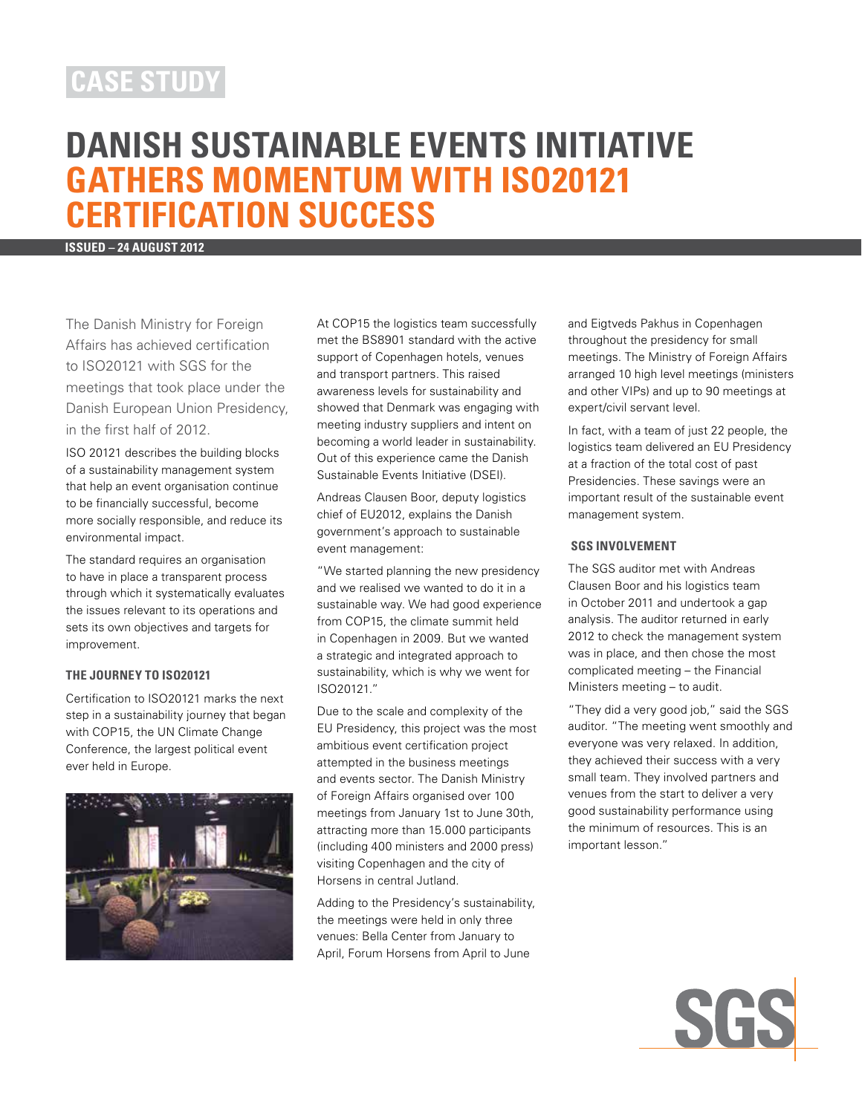## **case study**

# **Danish Sustainable Events Initiative Gathers Momentum with ISO20121 Certification Success**

**ISSUED – 24 august 2012**

The Danish Ministry for Foreign Affairs has achieved certification to ISO20121 with SGS for the meetings that took place under the Danish European Union Presidency, in the first half of 2012.

ISO 20121 describes the building blocks of a sustainability management system that help an event organisation continue to be financially successful, become more socially responsible, and reduce its environmental impact.

The standard requires an organisation to have in place a transparent process through which it systematically evaluates the issues relevant to its operations and sets its own objectives and targets for improvement.

### **THE JOURNEY TO ISO20121**

Certification to ISO20121 marks the next step in a sustainability journey that began with COP15, the UN Climate Change Conference, the largest political event ever held in Europe.



At COP15 the logistics team successfully met the BS8901 standard with the active support of Copenhagen hotels, venues and transport partners. This raised awareness levels for sustainability and showed that Denmark was engaging with meeting industry suppliers and intent on becoming a world leader in sustainability. Out of this experience came the Danish Sustainable Events Initiative (DSEI).

Andreas Clausen Boor, deputy logistics chief of EU2012, explains the Danish government's approach to sustainable event management:

"We started planning the new presidency and we realised we wanted to do it in a sustainable way. We had good experience from COP15, the climate summit held in Copenhagen in 2009. But we wanted a strategic and integrated approach to sustainability, which is why we went for ISO20121."

Due to the scale and complexity of the EU Presidency, this project was the most ambitious event certification project attempted in the business meetings and events sector. The Danish Ministry of Foreign Affairs organised over 100 meetings from January 1st to June 30th, attracting more than 15.000 participants (including 400 ministers and 2000 press) visiting Copenhagen and the city of Horsens in central Jutland.

Adding to the Presidency's sustainability, the meetings were held in only three venues: Bella Center from January to April, Forum Horsens from April to June

and Eigtveds Pakhus in Copenhagen throughout the presidency for small meetings. The Ministry of Foreign Affairs arranged 10 high level meetings (ministers and other VIPs) and up to 90 meetings at expert/civil servant level.

In fact, with a team of just 22 people, the logistics team delivered an EU Presidency at a fraction of the total cost of past Presidencies. These savings were an important result of the sustainable event management system.

### **SGS INVOLVEMENT**

The SGS auditor met with Andreas Clausen Boor and his logistics team in October 2011 and undertook a gap analysis. The auditor returned in early 2012 to check the management system was in place, and then chose the most complicated meeting – the Financial Ministers meeting – to audit.

"They did a very good job," said the SGS auditor. "The meeting went smoothly and everyone was very relaxed. In addition, they achieved their success with a very small team. They involved partners and venues from the start to deliver a very good sustainability performance using the minimum of resources. This is an important lesson."